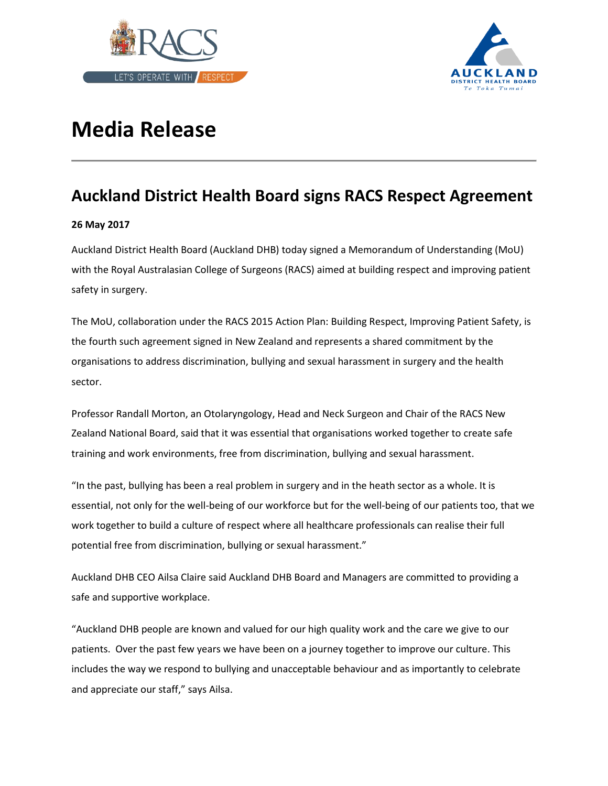



# **Media Release**

# **Auckland District Health Board signs RACS Respect Agreement**

## **26 May 2017**

Auckland District Health Board (Auckland DHB) today signed a Memorandum of Understanding (MoU) with the Royal Australasian College of Surgeons (RACS) aimed at building respect and improving patient safety in surgery.

The MoU, collaboration under the RACS 2015 Action Plan: Building Respect, Improving Patient Safety, is the fourth such agreement signed in New Zealand and represents a shared commitment by the organisations to address discrimination, bullying and sexual harassment in surgery and the health sector.

Professor Randall Morton, an Otolaryngology, Head and Neck Surgeon and Chair of the RACS New Zealand National Board, said that it was essential that organisations worked together to create safe training and work environments, free from discrimination, bullying and sexual harassment.

"In the past, bullying has been a real problem in surgery and in the heath sector as a whole. It is essential, not only for the well-being of our workforce but for the well-being of our patients too, that we work together to build a culture of respect where all healthcare professionals can realise their full potential free from discrimination, bullying or sexual harassment."

Auckland DHB CEO Ailsa Claire said Auckland DHB Board and Managers are committed to providing a safe and supportive workplace.

"Auckland DHB people are known and valued for our high quality work and the care we give to our patients. Over the past few years we have been on a journey together to improve our culture. This includes the way we respond to bullying and unacceptable behaviour and as importantly to celebrate and appreciate our staff," says Ailsa.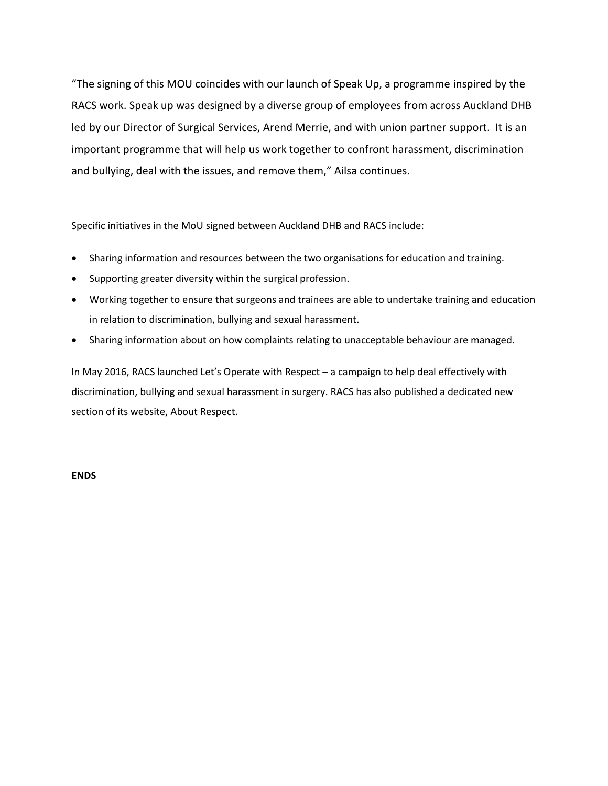"The signing of this MOU coincides with our launch of Speak Up, a programme inspired by the RACS work. Speak up was designed by a diverse group of employees from across Auckland DHB led by our Director of Surgical Services, Arend Merrie, and with union partner support. It is an important programme that will help us work together to confront harassment, discrimination and bullying, deal with the issues, and remove them," Ailsa continues.

Specific initiatives in the MoU signed between Auckland DHB and RACS include:

- Sharing information and resources between the two organisations for education and training.
- Supporting greater diversity within the surgical profession.
- Working together to ensure that surgeons and trainees are able to undertake training and education in relation to discrimination, bullying and sexual harassment.
- Sharing information about on how complaints relating to unacceptable behaviour are managed.

In May 2016, RACS launched Let's Operate with Respect – a campaign to help deal effectively with discrimination, bullying and sexual harassment in surgery. RACS has also published a dedicated new section of its website, About Respect.

## **ENDS**